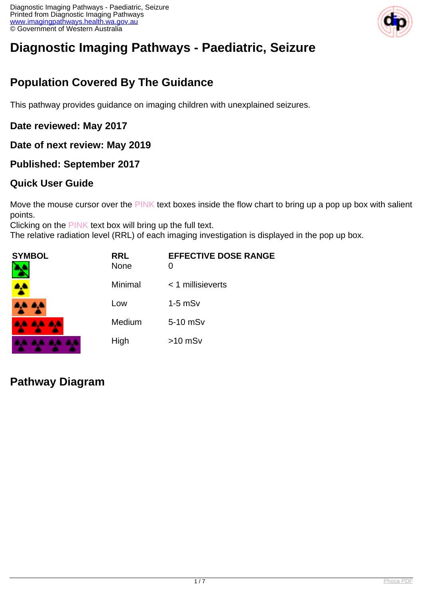

# **Diagnostic Imaging Pathways - Paediatric, Seizure**

## **Population Covered By The Guidance**

This pathway provides guidance on imaging children with unexplained seizures.

**Date reviewed: May 2017**

**Date of next review: May 2019**

**Published: September 2017**

#### **Quick User Guide**

Move the mouse cursor over the PINK text boxes inside the flow chart to bring up a pop up box with salient points.

Clicking on the PINK text box will bring up the full text.

The relative radiation level (RRL) of each imaging investigation is displayed in the pop up box.

| SYMBOL          | <b>RRL</b><br><b>None</b> | <b>EFFECTIVE DOSE RANGE</b><br>0 |
|-----------------|---------------------------|----------------------------------|
|                 | Minimal                   | < 1 millisieverts                |
| <b>AA AA</b>    | Low                       | $1-5$ mS $v$                     |
| <b>AA AA AA</b> | Medium                    | 5-10 mSv                         |
|                 | High                      | $>10$ mSv                        |

#### **Pathway Diagram**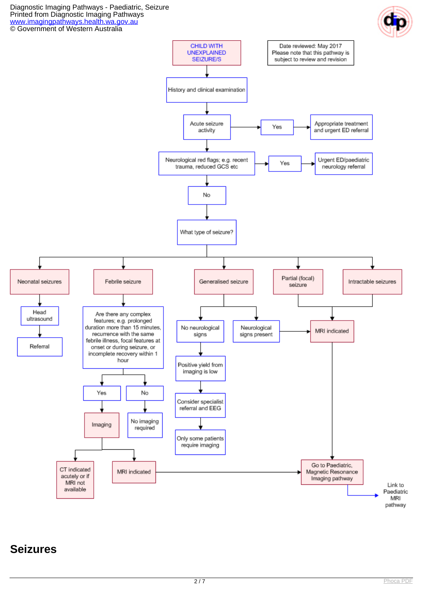Diagnostic Imaging Pathways - Paediatric, Seizure Printed from Diagnostic Imaging Pathways [www.imagingpathways.health.wa.gov.au](http://www.imagingpathways.health.wa.gov.au/) © Government of Western Australia





### **Seizures**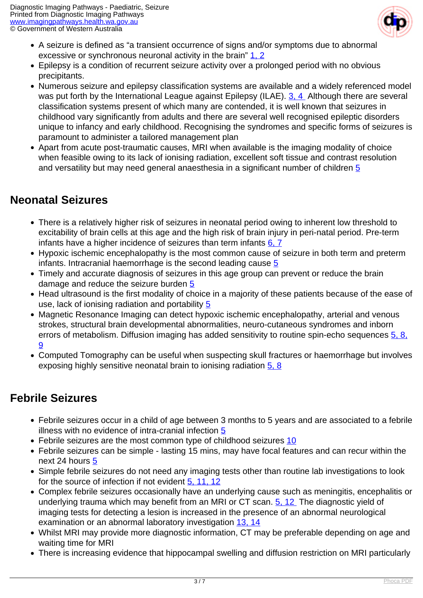

- A seizure is defined as "a transient occurrence of signs and/or symptoms due to abnormal excessive or synchronous neuronal activity in the brain"  $1, 2$
- Epilepsy is a condition of recurrent seizure activity over a prolonged period with no obvious precipitants.
- Numerous seizure and epilepsy classification systems are available and a widely referenced model was put forth by the International League against Epilepsy (ILAE). [3, 4](index.php?option=com_content&view=article&id=234&tab=references#1) Although there are several classification systems present of which many are contended, it is well known that seizures in childhood vary significantly from adults and there are several well recognised epileptic disorders unique to infancy and early childhood. Recognising the syndromes and specific forms of seizures is paramount to administer a tailored management plan
- Apart from acute post-traumatic causes, MRI when available is the imaging modality of choice when feasible owing to its lack of ionising radiation, excellent soft tissue and contrast resolution and versatility but may need general anaesthesia in a significant number of children [5](index.php?option=com_content&view=article&id=234&tab=references#1)

### **Neonatal Seizures**

- There is a relatively higher risk of seizures in neonatal period owing to inherent low threshold to excitability of brain cells at this age and the high risk of brain injury in peri-natal period. Pre-term infants have a higher incidence of seizures than term infants  $6, 7$
- Hypoxic ischemic encephalopathy is the most common cause of seizure in both term and preterm infants. Intracranial haemorrhage is the second leading cause [5](index.php?option=com_content&view=article&id=234&tab=references#1)
- Timely and accurate diagnosis of seizures in this age group can prevent or reduce the brain damage and reduce the seizure burden [5](index.php?option=com_content&view=article&id=234&tab=references#1)
- Head ultrasound is the first modality of choice in a majority of these patients because of the ease of use, lack of ionising radiation and portability [5](index.php?option=com_content&view=article&id=234&tab=references#1)
- Magnetic Resonance Imaging can detect hypoxic ischemic encephalopathy, arterial and venous strokes, structural brain developmental abnormalities, neuro-cutaneous syndromes and inborn errors of metabolism. Diffusion imaging has added sensitivity to routine spin-echo sequences  $5, 8$ , [9](index.php?option=com_content&view=article&id=234&tab=references#1)
- Computed Tomography can be useful when suspecting skull fractures or haemorrhage but involves exposing highly sensitive neonatal brain to ionising radiation [5, 8](index.php?option=com_content&view=article&id=234&tab=references#1)

## **Febrile Seizures**

- Febrile seizures occur in a child of age between 3 months to 5 years and are associated to a febrile illness with no evidence of intra-cranial infection [5](index.php?option=com_content&view=article&id=234&tab=references#1)
- Febrile seizures are the most common type of childhood seizures [10](index.php?option=com_content&view=article&id=234&tab=references#1)
- Febrile seizures can be simple lasting 15 mins, may have focal features and can recur within the next 24 hours [5](index.php?option=com_content&view=article&id=234&tab=references#1)
- Simple febrile seizures do not need any imaging tests other than routine lab investigations to look for the source of infection if not evident [5, 11, 12](index.php?option=com_content&view=article&id=234&tab=references#1)
- Complex febrile seizures occasionally have an underlying cause such as meningitis, encephalitis or underlying trauma which may benefit from an MRI or CT scan. [5, 12](index.php?option=com_content&view=article&id=234&tab=references#1) The diagnostic yield of imaging tests for detecting a lesion is increased in the presence of an abnormal neurological examination or an abnormal laboratory investigation [13, 14](index.php?option=com_content&view=article&id=234&tab=references#1)
- Whilst MRI may provide more diagnostic information, CT may be preferable depending on age and waiting time for MRI
- There is increasing evidence that hippocampal swelling and diffusion restriction on MRI particularly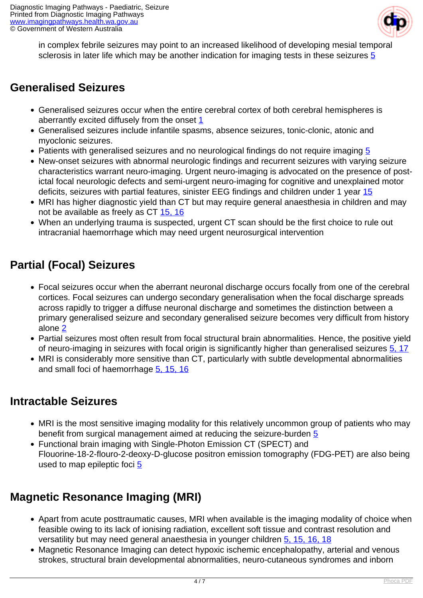

in complex febrile seizures may point to an increased likelihood of developing mesial temporal sclerosis in later life which may be another indication for imaging tests in these seizures [5](index.php?option=com_content&view=article&id=234&tab=references#1)

### **Generalised Seizures**

- Generalised seizures occur when the entire cerebral cortex of both cerebral hemispheres is aberrantly excited diffusely from the onset [1](index.php?option=com_content&view=article&id=234&tab=references#1)
- Generalised seizures include infantile spasms, absence seizures, tonic-clonic, atonic and myoclonic seizures.
- Patients with generalised seizures and no neurological findings do not require imaging [5](index.php?option=com_content&view=article&id=234&tab=references#1)
- New-onset seizures with abnormal neurologic findings and recurrent seizures with varying seizure characteristics warrant neuro-imaging. Urgent neuro-imaging is advocated on the presence of postictal focal neurologic defects and semi-urgent neuro-imaging for cognitive and unexplained motor deficits, seizures with partial features, sinister EEG findings and children under 1 year [15](index.php?option=com_content&view=article&id=234&tab=references#1)
- MRI has higher diagnostic yield than CT but may require general anaesthesia in children and may not be available as freely as CT [15, 16](index.php?option=com_content&view=article&id=234&tab=references#1)
- When an underlying trauma is suspected, urgent CT scan should be the first choice to rule out intracranial haemorrhage which may need urgent neurosurgical intervention

## **Partial (Focal) Seizures**

- Focal seizures occur when the aberrant neuronal discharge occurs focally from one of the cerebral cortices. Focal seizures can undergo secondary generalisation when the focal discharge spreads across rapidly to trigger a diffuse neuronal discharge and sometimes the distinction between a primary generalised seizure and secondary generalised seizure becomes very difficult from history alone [2](index.php?option=com_content&view=article&id=234&tab=references#1)
- Partial seizures most often result from focal structural brain abnormalities. Hence, the positive yield of neuro-imaging in seizures with focal origin is significantly higher than generalised seizures [5, 17](index.php?option=com_content&view=article&id=234&tab=references#1)
- MRI is considerably more sensitive than CT, particularly with subtle developmental abnormalities and small foci of haemorrhage [5, 15, 16](index.php?option=com_content&view=article&id=234&tab=references#1)

#### **Intractable Seizures**

- MRI is the most sensitive imaging modality for this relatively uncommon group of patients who may benefit from surgical management aimed at reducing the seizure-burden [5](index.php?option=com_content&view=article&id=234&tab=references#1)
- Functional brain imaging with Single-Photon Emission CT (SPECT) and Flouorine-18-2-flouro-2-deoxy-D-glucose positron emission tomography (FDG-PET) are also being used to map epileptic foci [5](index.php?option=com_content&view=article&id=234&tab=references#1)

## **Magnetic Resonance Imaging (MRI)**

- Apart from acute posttraumatic causes, MRI when available is the imaging modality of choice when feasible owing to its lack of ionising radiation, excellent soft tissue and contrast resolution and versatility but may need general anaesthesia in younger children [5, 15, 16, 18](index.php?option=com_content&view=article&id=234&tab=references#1)
- Magnetic Resonance Imaging can detect hypoxic ischemic encephalopathy, arterial and venous strokes, structural brain developmental abnormalities, neuro-cutaneous syndromes and inborn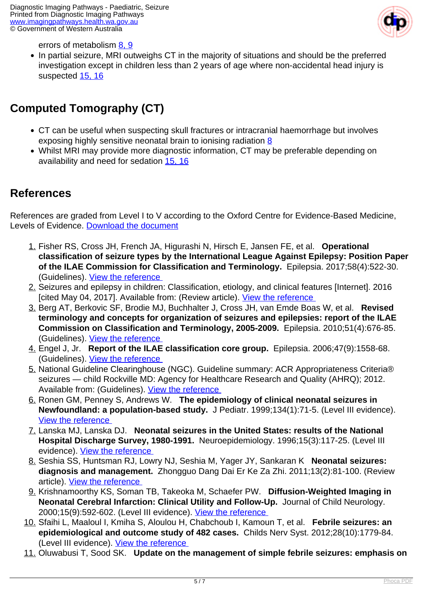

errors of metabolism [8, 9](index.php?option=com_content&view=article&id=234&tab=references#1)

• In partial seizure, MRI outweighs CT in the majority of situations and should be the preferred investigation except in children less than 2 years of age where non-accidental head injury is suspected [15, 16](index.php?option=com_content&view=article&id=234&tab=references#1)

## **Computed Tomography (CT)**

- CT can be useful when suspecting skull fractures or intracranial haemorrhage but involves exposing highly sensitive neonatal brain to ionising radiation [8](index.php?option=com_content&view=article&id=234&tab=references#1)
- Whilst MRI may provide more diagnostic information, CT may be preferable depending on availability and need for sedation [15, 16](index.php?option=com_content&view=article&id=234&tab=references#1)

#### **References**

References are graded from Level I to V according to the Oxford Centre for Evidence-Based Medicine, Levels of Evidence. [Download the document](http://www.cebm.net/wp-content/uploads/2014/06/CEBM-Levels-of-Evidence-2.1.pdf)

- 1. Fisher RS, Cross JH, French JA, Higurashi N, Hirsch E, Jansen FE, et al. **Operational classification of seizure types by the International League Against Epilepsy: Position Paper of the ILAE Commission for Classification and Terminology.** Epilepsia. 2017;58(4):522-30. (Guidelines). [View the reference](https://www.ncbi.nlm.nih.gov/pubmed/28276060 )
- 2. Seizures and epilepsy in children: Classification, etiology, and clinical features [Internet]. 2016 [cited May 04, 2017]. Available from: (Review article). View the reference
- 3. Berg AT, Berkovic SF, Brodie MJ, Buchhalter J, Cross JH, van Emde Boas W, et al. **Revised terminology and concepts for organization of seizures and epilepsies: report of the ILAE Commission on Classification and Terminology, 2005-2009.** Epilepsia. 2010;51(4):676-85. (Guidelines). [View the reference](https://www.ncbi.nlm.nih.gov/pubmed/20196795 )
- 4. Engel J, Jr. **Report of the ILAE classification core group.** Epilepsia. 2006;47(9):1558-68. (Guidelines). [View the reference](https://www.ncbi.nlm.nih.gov/pubmed/16981873 )
- 5. National Guideline Clearinghouse (NGC). Guideline summary: ACR Appropriateness Criteria® seizures — child Rockville MD: Agency for Healthcare Research and Quality (AHRQ); 2012. Available from: (Guidelines). View the reference
- 6. Ronen GM, Penney S, Andrews W. **The epidemiology of clinical neonatal seizures in Newfoundland: a population-based study.** J Pediatr. 1999;134(1):71-5. (Level III evidence). [View the reference](https://www.ncbi.nlm.nih.gov/pubmed/9880452 )
- 7. Lanska MJ, Lanska DJ. **Neonatal seizures in the United States: results of the National Hospital Discharge Survey, 1980-1991.** Neuroepidemiology. 1996;15(3):117-25. (Level III evidence). [View the reference](https://www.ncbi.nlm.nih.gov/pubmed/8700303 )
- 8. Seshia SS, Huntsman RJ, Lowry NJ, Seshia M, Yager JY, Sankaran K **Neonatal seizures: diagnosis and management.** Zhongguo Dang Dai Er Ke Za Zhi. 2011;13(2):81-100. (Review article). [View the reference](https://www.ncbi.nlm.nih.gov/pubmed/21342614 )
- 9. Krishnamoorthy KS, Soman TB, Takeoka M, Schaefer PW. **Diffusion-Weighted Imaging in Neonatal Cerebral Infarction: Clinical Utility and Follow-Up.** Journal of Child Neurology. 2000;15(9):592-602. (Level III evidence). View the reference
- 10. Sfaihi L, Maaloul I, Kmiha S, Aloulou H, Chabchoub I, Kamoun T, et al. **Febrile seizures: an epidemiological and outcome study of 482 cases.** Childs Nerv Syst. 2012;28(10):1779-84. (Level III evidence). [View the reference](https://www.ncbi.nlm.nih.gov/pubmed/22570169 )
- 11. Oluwabusi T, Sood SK. **Update on the management of simple febrile seizures: emphasis on**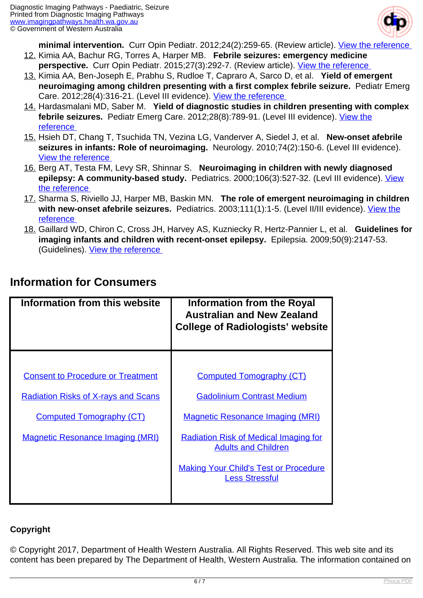

**minimal intervention.** Curr Opin Pediatr. 2012;24(2):259-65. (Review article). [View the reference](https://www.ncbi.nlm.nih.gov/pubmed/22327951 ) 

- 12. Kimia AA, Bachur RG, Torres A, Harper MB. **Febrile seizures: emergency medicine** perspective. Curr Opin Pediatr. 2015;27(3):292-7. (Review article). View the reference
- 13. Kimia AA, Ben-Joseph E, Prabhu S, Rudloe T, Capraro A, Sarco D, et al. **Yield of emergent neuroimaging among children presenting with a first complex febrile seizure.** Pediatr Emerg Care. 2012;28(4):316-21. (Level III evidence). [View the reference](https://www.ncbi.nlm.nih.gov/pubmed/22453723 )
- 14. Hardasmalani MD, Saber M. **Yield of diagnostic studies in children presenting with complex febrile seizures.** Pediatr Emerg Care. 2012;28(8):789-91. (Level III evidence). [View the](https://www.ncbi.nlm.nih.gov/pubmed/22858753 ) [reference](https://www.ncbi.nlm.nih.gov/pubmed/22858753 )
- 15. Hsieh DT, Chang T, Tsuchida TN, Vezina LG, Vanderver A, Siedel J, et al. **New-onset afebrile seizures in infants: Role of neuroimaging.** Neurology. 2010;74(2):150-6. (Level III evidence). [View the reference](https://www.ncbi.nlm.nih.gov/pmc/articles/PMC2809027 )
- 16. Berg AT, Testa FM, Levy SR, Shinnar S. **Neuroimaging in children with newly diagnosed epilepsy: A community-based study.** Pediatrics. 2000;106(3):527-32. (Levl III evidence). [View](https://www.ncbi.nlm.nih.gov/pubmed/10969098 ) [the reference](https://www.ncbi.nlm.nih.gov/pubmed/10969098 )
- 17. Sharma S, Riviello JJ, Harper MB, Baskin MN. **The role of emergent neuroimaging in children with new-onset afebrile seizures.** Pediatrics. 2003;111(1):1-5. (Level II/III evidence). [View the](https://www.ncbi.nlm.nih.gov/pubmed/12509546 ) [reference](https://www.ncbi.nlm.nih.gov/pubmed/12509546 )
- 18. Gaillard WD, Chiron C, Cross JH, Harvey AS, Kuzniecky R, Hertz-Pannier L, et al. **Guidelines for imaging infants and children with recent-onset epilepsy.** Epilepsia. 2009;50(9):2147-53. (Guidelines). [View the reference](https://www.ncbi.nlm.nih.gov/pubmed/19389145 )

| Information from this website              | <b>Information from the Royal</b><br><b>Australian and New Zealand</b><br><b>College of Radiologists' website</b> |
|--------------------------------------------|-------------------------------------------------------------------------------------------------------------------|
|                                            |                                                                                                                   |
| <b>Consent to Procedure or Treatment</b>   | <b>Computed Tomography (CT)</b>                                                                                   |
| <b>Radiation Risks of X-rays and Scans</b> | <b>Gadolinium Contrast Medium</b>                                                                                 |
| <b>Computed Tomography (CT)</b>            | <b>Magnetic Resonance Imaging (MRI)</b>                                                                           |
| <b>Magnetic Resonance Imaging (MRI)</b>    | <b>Radiation Risk of Medical Imaging for</b><br><b>Adults and Children</b>                                        |
|                                            | <b>Making Your Child's Test or Procedure</b><br><b>Less Stressful</b>                                             |

### **Information for Consumers**

#### **Copyright**

© Copyright 2017, Department of Health Western Australia. All Rights Reserved. This web site and its content has been prepared by The Department of Health, Western Australia. The information contained on